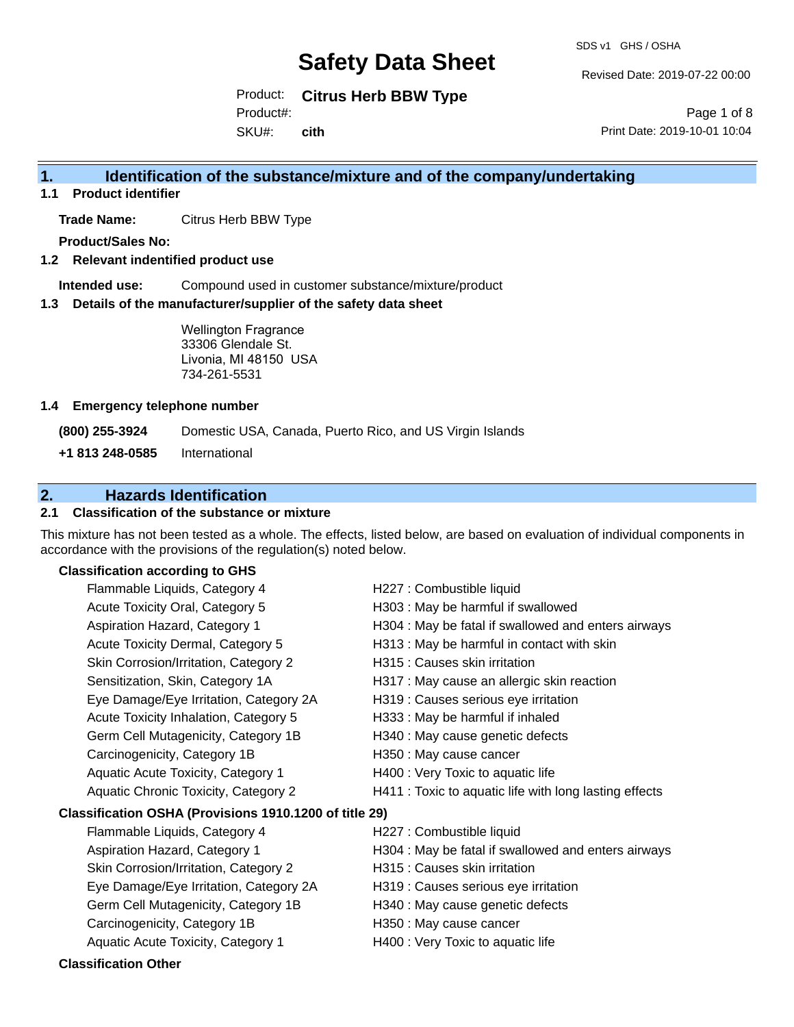SDS v1 GHS / OSHA

Revised Date: 2019-07-22 00:00

Product: **Citrus Herb BBW Type**

Product#:

SKU#: **cith**

Page 1 of 8 Print Date: 2019-10-01 10:04

# **1. Identification of the substance/mixture and of the company/undertaking**

**1.1 Product identifier**

**Trade Name:** Citrus Herb BBW Type

**Product/Sales No:**

**1.2 Relevant indentified product use**

**Intended use:** Compound used in customer substance/mixture/product

**1.3 Details of the manufacturer/supplier of the safety data sheet**

Wellington Fragrance 33306 Glendale St. Livonia, MI 48150 USA 734-261-5531

#### **1.4 Emergency telephone number**

**(800) 255-3924** Domestic USA, Canada, Puerto Rico, and US Virgin Islands

**+1 813 248-0585** International

# **2. Hazards Identification**

## **2.1 Classification of the substance or mixture**

This mixture has not been tested as a whole. The effects, listed below, are based on evaluation of individual components in accordance with the provisions of the regulation(s) noted below.

## **Classification according to GHS**

| Flammable Liquids, Category 4                          | H227 : Combustible liquid                              |
|--------------------------------------------------------|--------------------------------------------------------|
| Acute Toxicity Oral, Category 5                        | H303 : May be harmful if swallowed                     |
| Aspiration Hazard, Category 1                          | H304 : May be fatal if swallowed and enters airways    |
| Acute Toxicity Dermal, Category 5                      | H313 : May be harmful in contact with skin             |
| Skin Corrosion/Irritation, Category 2                  | H315 : Causes skin irritation                          |
| Sensitization, Skin, Category 1A                       | H317 : May cause an allergic skin reaction             |
| Eye Damage/Eye Irritation, Category 2A                 | H319 : Causes serious eye irritation                   |
| Acute Toxicity Inhalation, Category 5                  | H333: May be harmful if inhaled                        |
| Germ Cell Mutagenicity, Category 1B                    | H340 : May cause genetic defects                       |
| Carcinogenicity, Category 1B                           | H350 : May cause cancer                                |
| Aquatic Acute Toxicity, Category 1                     | H400 : Very Toxic to aquatic life                      |
| Aquatic Chronic Toxicity, Category 2                   | H411 : Toxic to aquatic life with long lasting effects |
| Classification OSHA (Provisions 1910.1200 of title 29) |                                                        |
| Flammable Liquids, Category 4                          | H227 : Combustible liquid                              |
| Aspiration Hazard, Category 1                          | H304 : May be fatal if swallowed and enters airways    |
| Skin Corrosion/Irritation, Category 2                  | H315 : Causes skin irritation                          |
| Eye Damage/Eye Irritation, Category 2A                 | H319 : Causes serious eye irritation                   |
| Germ Cell Mutagenicity, Category 1B                    | H340 : May cause genetic defects                       |
| Carcinogenicity, Category 1B                           | H350 : May cause cancer                                |
| Aquatic Acute Toxicity, Category 1                     | H400 : Very Toxic to aquatic life                      |
| <b>Classification Other</b>                            |                                                        |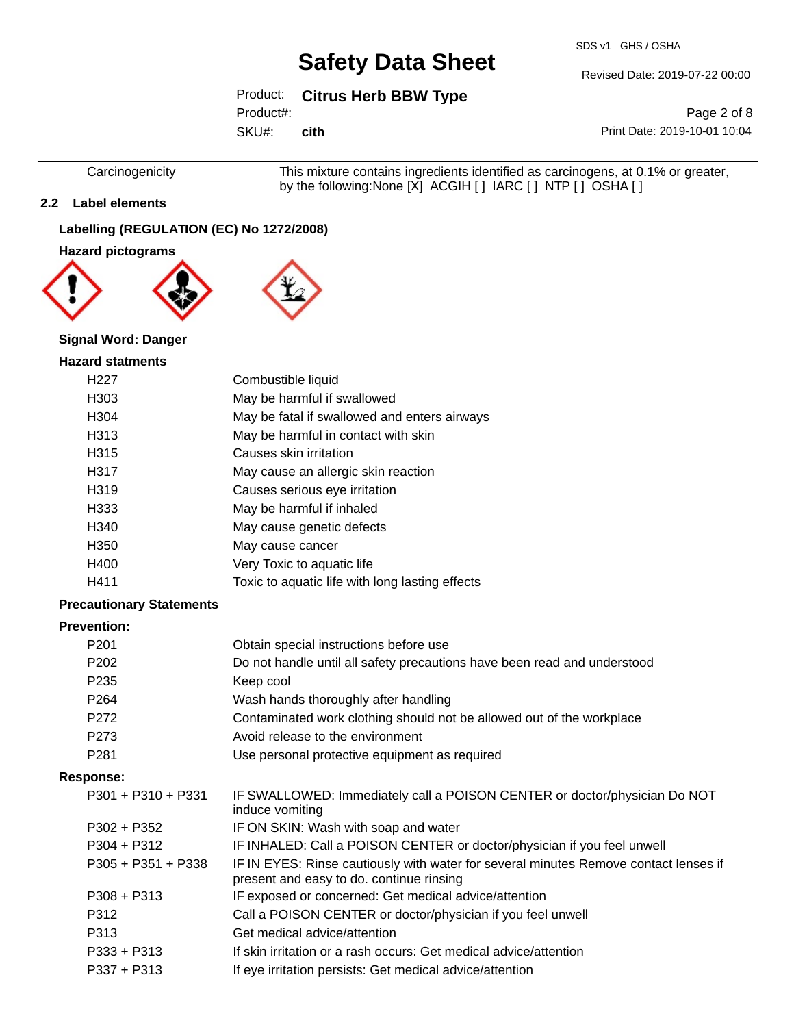SDS v1 GHS / OSHA

Revised Date: 2019-07-22 00:00

# Product: **Citrus Herb BBW Type**

Product#:

SKU#: **cith**

Page 2 of 8 Print Date: 2019-10-01 10:04

Carcinogenicity This mixture contains ingredients identified as carcinogens, at 0.1% or greater, by the following:None [X] ACGIH [ ] IARC [ ] NTP [ ] OSHA [ ]

## **2.2 Label elements**

## **Labelling (REGULATION (EC) No 1272/2008)**

### **Hazard pictograms**



### **Signal Word: Danger**

#### **Hazard statments**

| H <sub>22</sub> 7 | Combustible liquid                              |
|-------------------|-------------------------------------------------|
| H303              | May be harmful if swallowed                     |
| H <sub>304</sub>  | May be fatal if swallowed and enters airways    |
| H313              | May be harmful in contact with skin             |
| H315              | Causes skin irritation                          |
| H317              | May cause an allergic skin reaction             |
| H <sub>319</sub>  | Causes serious eye irritation                   |
| H333              | May be harmful if inhaled                       |
| H340              | May cause genetic defects                       |
| H350              | May cause cancer                                |
| H400              | Very Toxic to aquatic life                      |
| H411              | Toxic to aquatic life with long lasting effects |
|                   |                                                 |

### **Precautionary Statements**

# **Prevention:**

| г геуспиоп.          |                                                                                                                                  |
|----------------------|----------------------------------------------------------------------------------------------------------------------------------|
| P <sub>201</sub>     | Obtain special instructions before use                                                                                           |
| P <sub>202</sub>     | Do not handle until all safety precautions have been read and understood                                                         |
| P <sub>235</sub>     | Keep cool                                                                                                                        |
| P <sub>264</sub>     | Wash hands thoroughly after handling                                                                                             |
| P <sub>272</sub>     | Contaminated work clothing should not be allowed out of the workplace                                                            |
| P273                 | Avoid release to the environment                                                                                                 |
| P <sub>281</sub>     | Use personal protective equipment as required                                                                                    |
| Response:            |                                                                                                                                  |
| $P301 + P310 + P331$ | IF SWALLOWED: Immediately call a POISON CENTER or doctor/physician Do NOT<br>induce vomiting                                     |
| P302 + P352          | IF ON SKIN: Wash with soap and water                                                                                             |
| $P304 + P312$        | IF INHALED: Call a POISON CENTER or doctor/physician if you feel unwell                                                          |
| $P305 + P351 + P338$ | IF IN EYES: Rinse cautiously with water for several minutes Remove contact lenses if<br>present and easy to do. continue rinsing |
| $P308 + P313$        | IF exposed or concerned: Get medical advice/attention                                                                            |
| P312                 | Call a POISON CENTER or doctor/physician if you feel unwell                                                                      |
| P313                 | Get medical advice/attention                                                                                                     |
| $P333 + P313$        | If skin irritation or a rash occurs: Get medical advice/attention                                                                |

P337 + P313 If eye irritation persists: Get medical advice/attention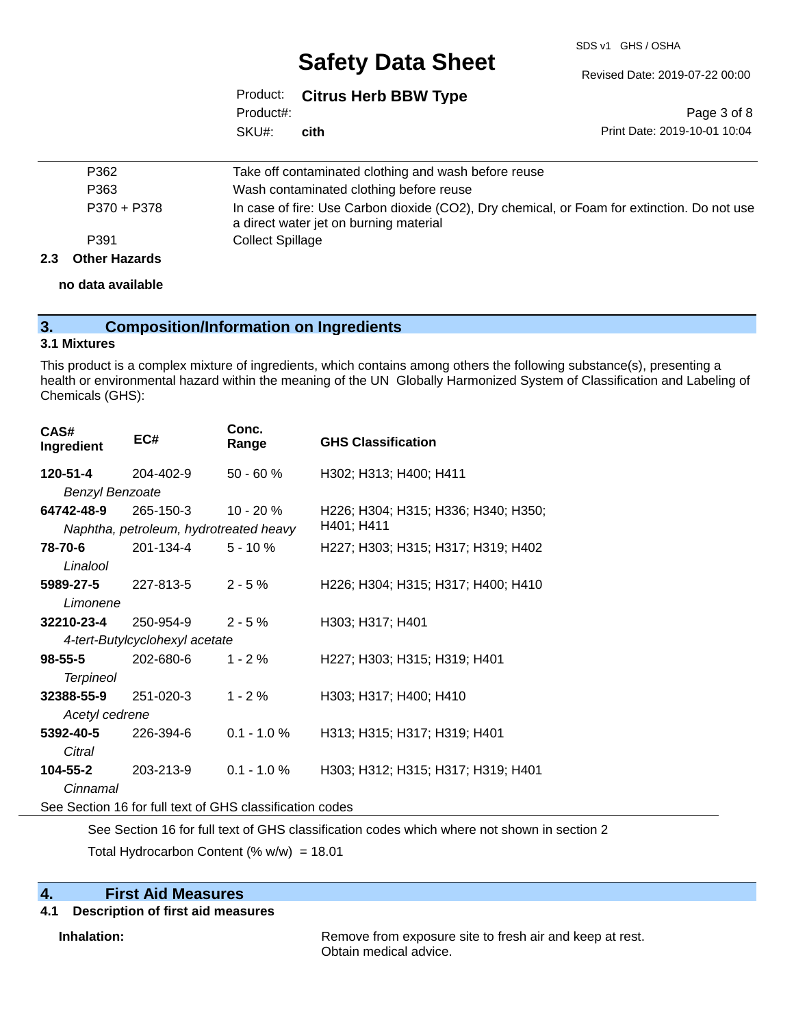SDS v1 GHS / OSHA

Revised Date: 2019-07-22 00:00

|           | Product: Citrus Herb BBW Type |
|-----------|-------------------------------|
| Product#: |                               |
| SKU#:     | cith                          |

Page 3 of 8 Print Date: 2019-10-01 10:04

|     | P362                 | Take off contaminated clothing and wash before reuse                                                                                  |
|-----|----------------------|---------------------------------------------------------------------------------------------------------------------------------------|
|     | P363                 | Wash contaminated clothing before reuse                                                                                               |
|     | P370 + P378          | In case of fire: Use Carbon dioxide (CO2), Dry chemical, or Foam for extinction. Do not use<br>a direct water jet on burning material |
|     | P391                 | <b>Collect Spillage</b>                                                                                                               |
| 2.3 | <b>Other Hazards</b> |                                                                                                                                       |

**no data available**

| 3. | <b>Composition/Information on Ingredients</b> |  |
|----|-----------------------------------------------|--|
|----|-----------------------------------------------|--|

#### **3.1 Mixtures**

This product is a complex mixture of ingredients, which contains among others the following substance(s), presenting a health or environmental hazard within the meaning of the UN Globally Harmonized System of Classification and Labeling of Chemicals (GHS):

| CAS#<br>Ingredient     | EC#                                    | Conc.<br>Range | <b>GHS Classification</b>           |  |
|------------------------|----------------------------------------|----------------|-------------------------------------|--|
| 120-51-4               | 204-402-9                              | 50 - 60 %      | H302; H313; H400; H411              |  |
| <b>Benzyl Benzoate</b> |                                        |                |                                     |  |
| 64742-48-9             | 265-150-3                              | $10 - 20%$     | H226; H304; H315; H336; H340; H350; |  |
|                        | Naphtha, petroleum, hydrotreated heavy |                | H401; H411                          |  |
| 78-70-6                | 201-134-4                              | $5 - 10%$      | H227; H303; H315; H317; H319; H402  |  |
| Linalool               |                                        |                |                                     |  |
| 5989-27-5              | 227-813-5                              | $2 - 5%$       | H226; H304; H315; H317; H400; H410  |  |
| Limonene               |                                        |                |                                     |  |
| 32210-23-4             | 250-954-9                              | $2 - 5%$       | H303; H317; H401                    |  |
|                        | 4-tert-Butylcyclohexyl acetate         |                |                                     |  |
| $98 - 55 - 5$          | 202-680-6                              | $1 - 2%$       | H227; H303; H315; H319; H401        |  |
| <b>Terpineol</b>       |                                        |                |                                     |  |
| 32388-55-9             | 251-020-3                              | $1 - 2 \%$     | H303; H317; H400; H410              |  |
| Acetyl cedrene         |                                        |                |                                     |  |
| 5392-40-5              | 226-394-6                              | $0.1 - 1.0 \%$ | H313; H315; H317; H319; H401        |  |
| Citral                 |                                        |                |                                     |  |
| 104-55-2               | 203-213-9                              | $0.1 - 1.0 %$  | H303; H312; H315; H317; H319; H401  |  |
| Cinnamal               |                                        |                |                                     |  |
|                        |                                        |                |                                     |  |

See Section 16 for full text of GHS classification codes

See Section 16 for full text of GHS classification codes which where not shown in section 2

Total Hydrocarbon Content (% w/w) = 18.01

### **4. First Aid Measures**

#### **4.1 Description of first aid measures**

**Inhalation:** Remove from exposure site to fresh air and keep at rest. Obtain medical advice.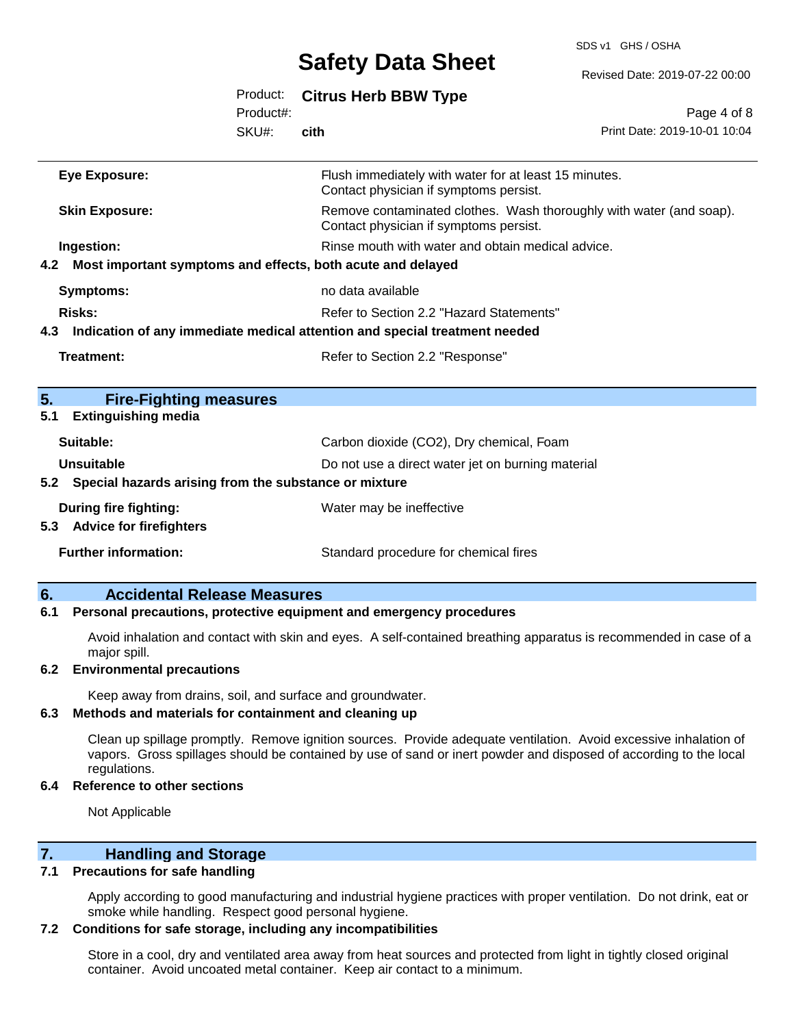SDS v1 GHS / OSHA

|           |                                                                 |           |                                                                                                               | Revised Date: 2019-07-22 00:00 |
|-----------|-----------------------------------------------------------------|-----------|---------------------------------------------------------------------------------------------------------------|--------------------------------|
|           |                                                                 | Product:  | <b>Citrus Herb BBW Type</b>                                                                                   |                                |
|           |                                                                 | Product#: |                                                                                                               | Page 4 of 8                    |
|           |                                                                 | SKU#:     | cith                                                                                                          | Print Date: 2019-10-01 10:04   |
|           | <b>Eye Exposure:</b>                                            |           | Flush immediately with water for at least 15 minutes.<br>Contact physician if symptoms persist.               |                                |
|           | <b>Skin Exposure:</b>                                           |           | Remove contaminated clothes. Wash thoroughly with water (and soap).<br>Contact physician if symptoms persist. |                                |
|           | Ingestion:                                                      |           | Rinse mouth with water and obtain medical advice.                                                             |                                |
|           | 4.2 Most important symptoms and effects, both acute and delayed |           |                                                                                                               |                                |
|           | <b>Symptoms:</b>                                                |           | no data available                                                                                             |                                |
|           | <b>Risks:</b>                                                   |           | Refer to Section 2.2 "Hazard Statements"                                                                      |                                |
|           |                                                                 |           | 4.3 Indication of any immediate medical attention and special treatment needed                                |                                |
|           | <b>Treatment:</b>                                               |           | Refer to Section 2.2 "Response"                                                                               |                                |
| 5.<br>5.1 | <b>Fire-Fighting measures</b><br><b>Extinguishing media</b>     |           |                                                                                                               |                                |
|           | Suitable:                                                       |           | Carbon dioxide (CO2), Dry chemical, Foam                                                                      |                                |
|           | <b>Unsuitable</b>                                               |           | Do not use a direct water jet on burning material                                                             |                                |
|           | 5.2 Special hazards arising from the substance or mixture       |           |                                                                                                               |                                |
|           | During fire fighting:<br>5.3 Advice for firefighters            |           | Water may be ineffective                                                                                      |                                |
|           | <b>Further information:</b>                                     |           | Standard procedure for chemical fires                                                                         |                                |

### **6. Accidental Release Measures**

#### **6.1 Personal precautions, protective equipment and emergency procedures**

Avoid inhalation and contact with skin and eyes. A self-contained breathing apparatus is recommended in case of a major spill.

#### **6.2 Environmental precautions**

Keep away from drains, soil, and surface and groundwater.

#### **6.3 Methods and materials for containment and cleaning up**

Clean up spillage promptly. Remove ignition sources. Provide adequate ventilation. Avoid excessive inhalation of vapors. Gross spillages should be contained by use of sand or inert powder and disposed of according to the local regulations.

#### **6.4 Reference to other sections**

Not Applicable

## **7. Handling and Storage**

#### **7.1 Precautions for safe handling**

Apply according to good manufacturing and industrial hygiene practices with proper ventilation. Do not drink, eat or smoke while handling. Respect good personal hygiene.

### **7.2 Conditions for safe storage, including any incompatibilities**

Store in a cool, dry and ventilated area away from heat sources and protected from light in tightly closed original container. Avoid uncoated metal container. Keep air contact to a minimum.

Revised Date: 2019-07-22 00:00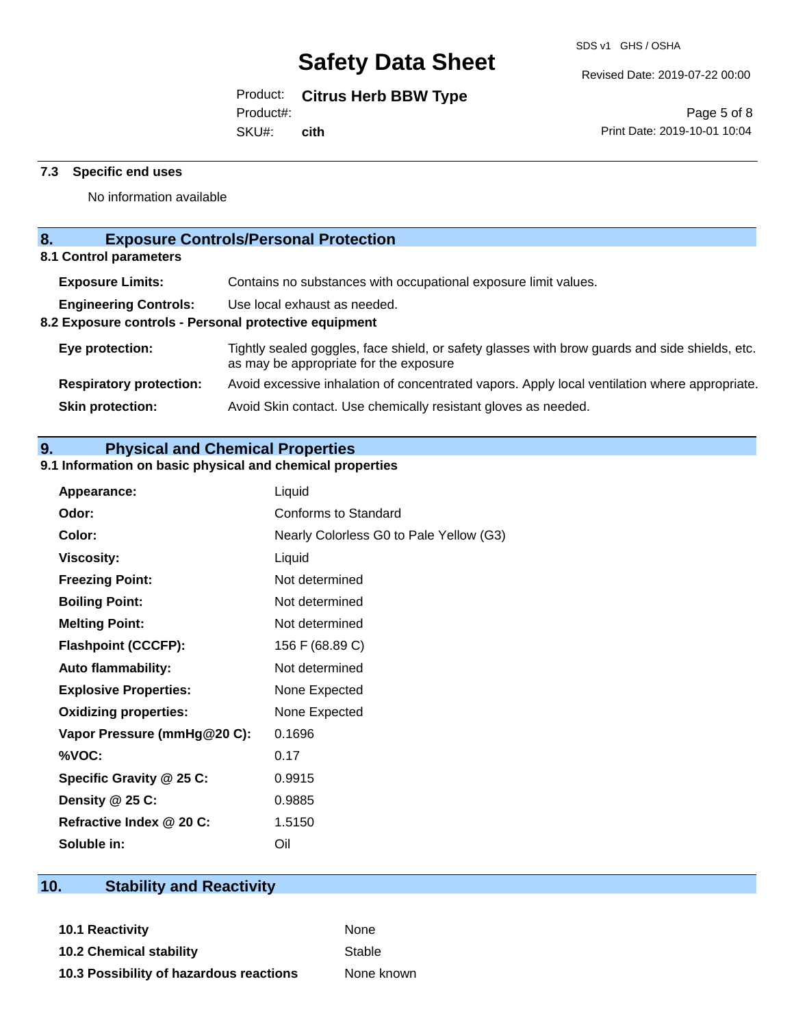Revised Date: 2019-07-22 00:00

Product: **Citrus Herb BBW Type**

Product#:

SKU#: **cith**

Page 5 of 8 Print Date: 2019-10-01 10:04

### **7.3 Specific end uses**

No information available

# **8. Exposure Controls/Personal Protection**

**8.1 Control parameters**

| <b>Exposure Limits:</b>                               | Contains no substances with occupational exposure limit values.                                                                          |
|-------------------------------------------------------|------------------------------------------------------------------------------------------------------------------------------------------|
| <b>Engineering Controls:</b>                          | Use local exhaust as needed.                                                                                                             |
| 8.2 Exposure controls - Personal protective equipment |                                                                                                                                          |
| Eye protection:                                       | Tightly sealed goggles, face shield, or safety glasses with brow guards and side shields, etc.<br>as may be appropriate for the exposure |
| <b>Respiratory protection:</b>                        | Avoid excessive inhalation of concentrated vapors. Apply local ventilation where appropriate.                                            |
| <b>Skin protection:</b>                               | Avoid Skin contact. Use chemically resistant gloves as needed.                                                                           |
|                                                       |                                                                                                                                          |

# **9. Physical and Chemical Properties**

# **9.1 Information on basic physical and chemical properties**

| <b>Appearance:</b>           | Liquid                                  |
|------------------------------|-----------------------------------------|
| Odor:                        | Conforms to Standard                    |
| Color:                       | Nearly Colorless G0 to Pale Yellow (G3) |
| <b>Viscosity:</b>            | Liquid                                  |
| <b>Freezing Point:</b>       | Not determined                          |
| <b>Boiling Point:</b>        | Not determined                          |
| <b>Melting Point:</b>        | Not determined                          |
| <b>Flashpoint (CCCFP):</b>   | 156 F (68.89 C)                         |
| <b>Auto flammability:</b>    | Not determined                          |
| <b>Explosive Properties:</b> | None Expected                           |
| <b>Oxidizing properties:</b> | None Expected                           |
| Vapor Pressure (mmHg@20 C):  | 0.1696                                  |
| %VOC:                        | 0.17                                    |
| Specific Gravity @ 25 C:     | 0.9915                                  |
| Density @ 25 C:              | 0.9885                                  |
| Refractive Index @ 20 C:     | 1.5150                                  |
| Soluble in:                  | Oil                                     |

# **10. Stability and Reactivity**

**10.1 Reactivity** None **10.2 Chemical stability** Stable **10.3 Possibility of hazardous reactions** None known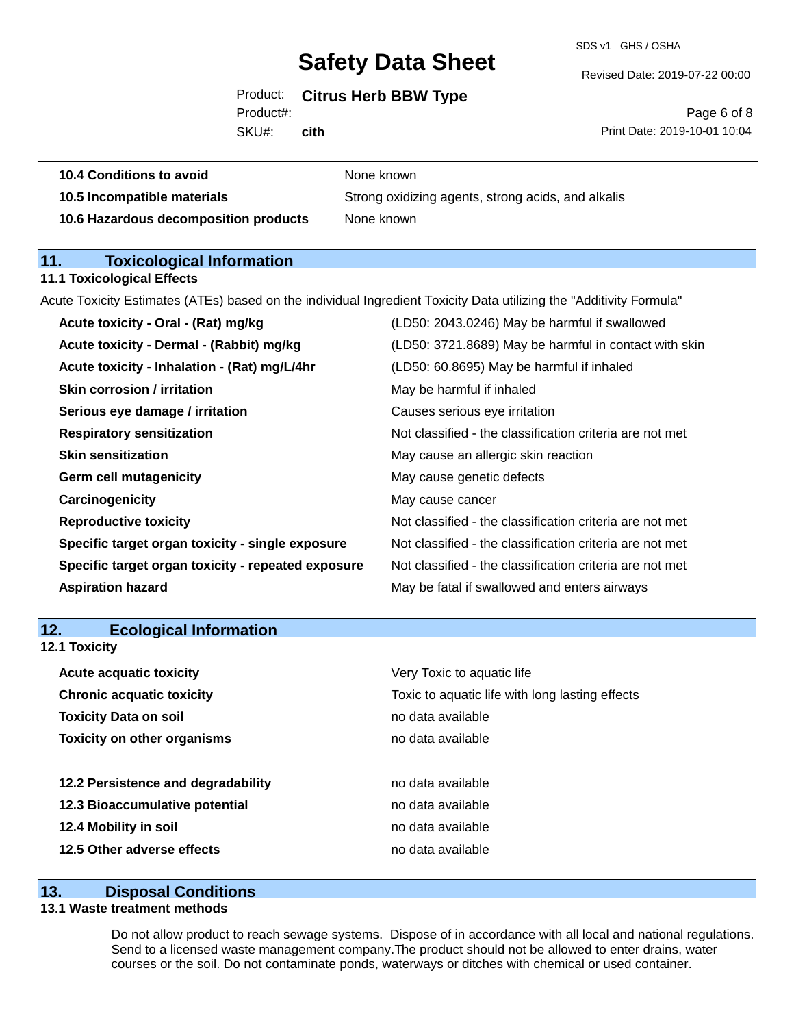SDS v1 GHS / OSHA

Revised Date: 2019-07-22 00:00

## Product: **Citrus Herb BBW Type**

Product#:

SKU#: **cith**

Page 6 of 8 Print Date: 2019-10-01 10:04

| <b>10.4 Conditions to avoid</b>       | None known                                         |
|---------------------------------------|----------------------------------------------------|
| 10.5 Incompatible materials           | Strong oxidizing agents, strong acids, and alkalis |
| 10.6 Hazardous decomposition products | None known                                         |

## **11. Toxicological Information**

#### **11.1 Toxicological Effects**

Acute Toxicity Estimates (ATEs) based on the individual Ingredient Toxicity Data utilizing the "Additivity Formula"

| Acute toxicity - Dermal - (Rabbit) mg/kg<br>(LD50: 3721.8689) May be harmful in contact with skin<br>Acute toxicity - Inhalation - (Rat) mg/L/4hr<br>(LD50: 60.8695) May be harmful if inhaled<br><b>Skin corrosion / irritation</b><br>May be harmful if inhaled |
|-------------------------------------------------------------------------------------------------------------------------------------------------------------------------------------------------------------------------------------------------------------------|
|                                                                                                                                                                                                                                                                   |
|                                                                                                                                                                                                                                                                   |
|                                                                                                                                                                                                                                                                   |
| Serious eye damage / irritation<br>Causes serious eye irritation                                                                                                                                                                                                  |
| Not classified - the classification criteria are not met<br><b>Respiratory sensitization</b>                                                                                                                                                                      |
| <b>Skin sensitization</b><br>May cause an allergic skin reaction                                                                                                                                                                                                  |
| <b>Germ cell mutagenicity</b><br>May cause genetic defects                                                                                                                                                                                                        |
| Carcinogenicity<br>May cause cancer                                                                                                                                                                                                                               |
| Not classified - the classification criteria are not met<br><b>Reproductive toxicity</b>                                                                                                                                                                          |
| Specific target organ toxicity - single exposure<br>Not classified - the classification criteria are not met                                                                                                                                                      |
| Specific target organ toxicity - repeated exposure<br>Not classified - the classification criteria are not met                                                                                                                                                    |
| May be fatal if swallowed and enters airways<br><b>Aspiration hazard</b>                                                                                                                                                                                          |

# **12. Ecological Information 12.1 Toxicity**

| <b>Acute acquatic toxicity</b>     | Very Toxic to aquatic life                      |
|------------------------------------|-------------------------------------------------|
| <b>Chronic acquatic toxicity</b>   | Toxic to aquatic life with long lasting effects |
| <b>Toxicity Data on soil</b>       | no data available                               |
| <b>Toxicity on other organisms</b> | no data available                               |
|                                    |                                                 |
| 12.2 Persistence and degradability | no data available                               |
| 12.3 Bioaccumulative potential     | no data available                               |
| 12.4 Mobility in soil              | no data available                               |
| 12.5 Other adverse effects         | no data available                               |

# **13. Disposal Conditions**

### **13.1 Waste treatment methods**

Do not allow product to reach sewage systems. Dispose of in accordance with all local and national regulations. Send to a licensed waste management company.The product should not be allowed to enter drains, water courses or the soil. Do not contaminate ponds, waterways or ditches with chemical or used container.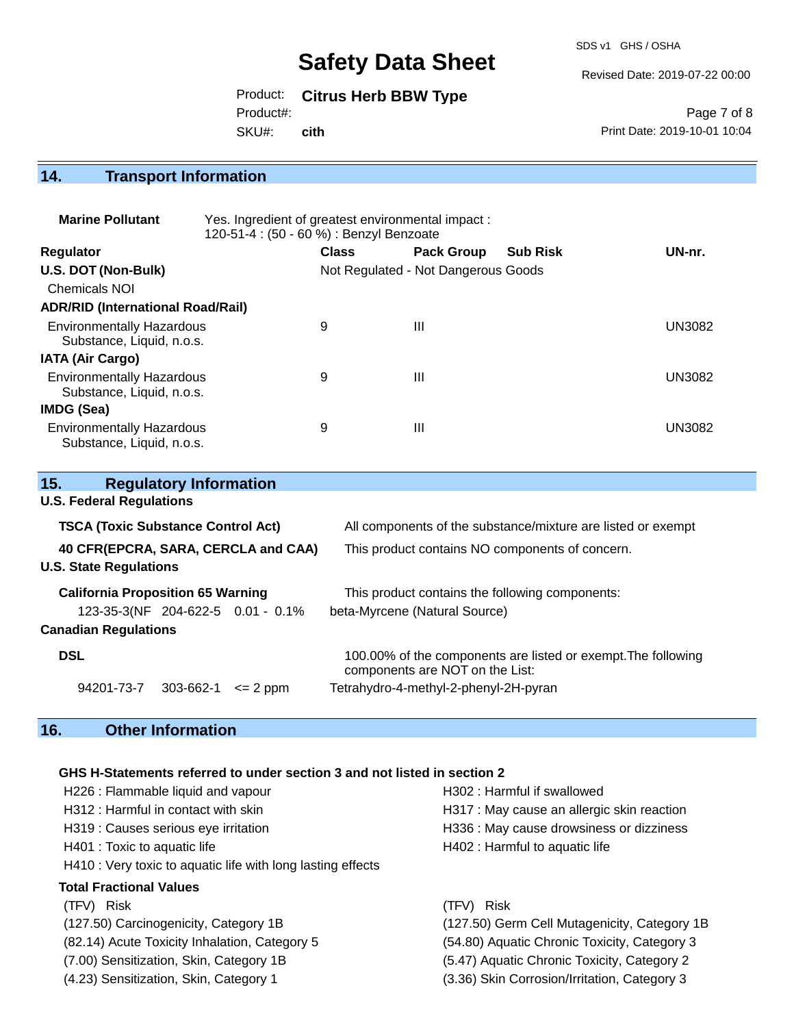SDS v1 GHS / OSHA

Revised Date: 2019-07-22 00:00

Product: **Citrus Herb BBW Type**

Product#:

SKU#: **cith**

Page 7 of 8 Print Date: 2019-10-01 10:04

## **14. Transport Information**

| <b>Marine Pollutant</b>                                       | Yes. Ingredient of greatest environmental impact:<br>120-51-4 : (50 - 60 %) : Benzyl Benzoate |              |                                     |                 |               |  |
|---------------------------------------------------------------|-----------------------------------------------------------------------------------------------|--------------|-------------------------------------|-----------------|---------------|--|
| <b>Regulator</b>                                              |                                                                                               | <b>Class</b> | <b>Pack Group</b>                   | <b>Sub Risk</b> | UN-nr.        |  |
| U.S. DOT (Non-Bulk)                                           |                                                                                               |              | Not Regulated - Not Dangerous Goods |                 |               |  |
| <b>Chemicals NOI</b>                                          |                                                                                               |              |                                     |                 |               |  |
| <b>ADR/RID (International Road/Rail)</b>                      |                                                                                               |              |                                     |                 |               |  |
| <b>Environmentally Hazardous</b><br>Substance, Liquid, n.o.s. |                                                                                               | 9            | Ш                                   |                 | <b>UN3082</b> |  |
| <b>IATA (Air Cargo)</b>                                       |                                                                                               |              |                                     |                 |               |  |
| <b>Environmentally Hazardous</b><br>Substance, Liquid, n.o.s. |                                                                                               | 9            | Ш                                   |                 | <b>UN3082</b> |  |
| IMDG (Sea)                                                    |                                                                                               |              |                                     |                 |               |  |
| <b>Environmentally Hazardous</b><br>Substance, Liquid, n.o.s. |                                                                                               | 9            | Ш                                   |                 | <b>UN3082</b> |  |

| 15.<br><b>Regulatory Information</b>      |                                                                                                  |  |  |  |
|-------------------------------------------|--------------------------------------------------------------------------------------------------|--|--|--|
| <b>U.S. Federal Regulations</b>           |                                                                                                  |  |  |  |
| <b>TSCA (Toxic Substance Control Act)</b> | All components of the substance/mixture are listed or exempt                                     |  |  |  |
| 40 CFR(EPCRA, SARA, CERCLA and CAA)       | This product contains NO components of concern.                                                  |  |  |  |
| <b>U.S. State Regulations</b>             |                                                                                                  |  |  |  |
| <b>California Proposition 65 Warning</b>  | This product contains the following components:                                                  |  |  |  |
| 123-35-3(NF 204-622-5 0.01 - 0.1%         | beta-Myrcene (Natural Source)                                                                    |  |  |  |
| <b>Canadian Regulations</b>               |                                                                                                  |  |  |  |
| <b>DSL</b>                                | 100.00% of the components are listed or exempt. The following<br>components are NOT on the List: |  |  |  |
| 94201-73-7<br>303-662-1<br>$\leq$ 2 ppm   | Tetrahydro-4-methyl-2-phenyl-2H-pyran                                                            |  |  |  |

# **16. Other Information**

#### **GHS H-Statements referred to under section 3 and not listed in section 2**

H226 : Flammable liquid and vapour H302 : Harmful if swallowed H312 : Harmful in contact with skin H317 : May cause an allergic skin reaction H319 : Causes serious eye irritation **H336** : May cause drowsiness or dizziness H401 : Toxic to aquatic life **H402** : Harmful to aquatic life H410 : Very toxic to aquatic life with long lasting effects **Total Fractional Values** (TFV) Risk (TFV) Risk (127.50) Carcinogenicity, Category 1B (127.50) Germ Cell Mutagenicity, Category 1B (82.14) Acute Toxicity Inhalation, Category 5 (54.80) Aquatic Chronic Toxicity, Category 3

(7.00) Sensitization, Skin, Category 1B (5.47) Aquatic Chronic Toxicity, Category 2 (4.23) Sensitization, Skin, Category 1 (3.36) Skin Corrosion/Irritation, Category 3